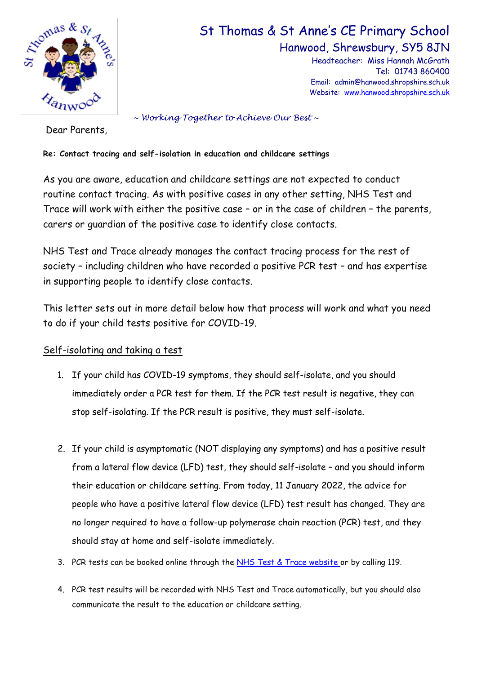

# St Thomas & St Anne's CE Primary School

Hanwood, Shrewsbury, SY5 8JN

Headteacher: Miss Hannah McGrath Tel: 01743 860400 Email: admin@hanwood.shropshire.sch.uk Website: [www.hanwood.shropshire.sch.uk](http://www.hanwood.shropshire.sch.uk/)

*~ Working Together to Achieve Our Best ~*

Dear Parents,

## **Re: Contact tracing and self-isolation in education and childcare settings**

As you are aware, education and childcare settings are not expected to conduct routine contact tracing. As with positive cases in any other setting, NHS Test and Trace will work with either the positive case – or in the case of children – the parents, carers or guardian of the positive case to identify close contacts.

NHS Test and Trace already manages the contact tracing process for the rest of society – including children who have recorded a positive PCR test – and has expertise in supporting people to identify close contacts.

This letter sets out in more detail below how that process will work and what you need to do if your child tests positive for COVID-19.

## Self-isolating and taking a test

- 1. If your child has COVID-19 symptoms, they should self-isolate, and you should immediately order a PCR test for them. If the PCR test result is negative, they can stop self-isolating. If the PCR result is positive, they must self-isolate.
- 2. If your child is asymptomatic (NOT displaying any symptoms) and has a positive result from a lateral flow device (LFD) test, they should self-isolate – and you should inform their education or childcare setting. From today, 11 January 2022, the advice for people who have a positive lateral flow device (LFD) test result has changed. They are no longer required to have a follow-up polymerase chain reaction (PCR) test, and they should stay at home and self-isolate immediately.
- 3. PCR tests can be booked online through the [NHS Test & Trace website](https://www.nhs.uk/conditions/coronavirus-covid-19/testing/) or by calling 119.
- 4. PCR test results will be recorded with NHS Test and Trace automatically, but you should also communicate the result to the education or childcare setting.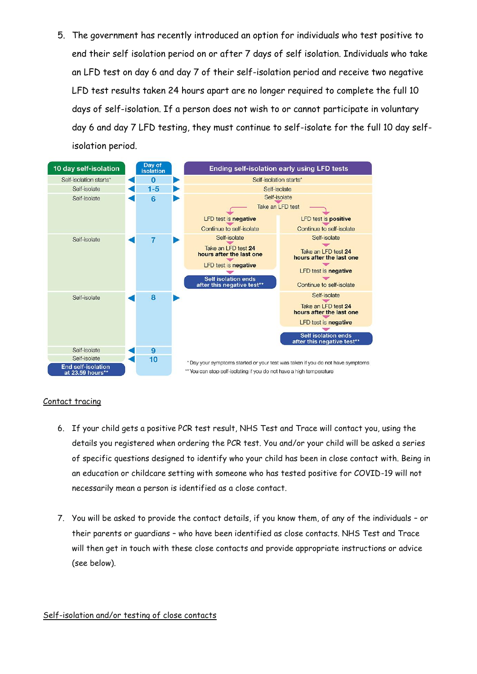5. The government has recently introduced an option for individuals who test positive to end their self isolation period on or after 7 days of self isolation. Individuals who take an LFD test on day 6 and day 7 of their self-isolation period and receive two negative LFD test results taken 24 hours apart are no longer required to complete the full 10 days of self-isolation. If a person does not wish to or cannot participate in voluntary day 6 and day 7 LFD testing, they must continue to self-isolate for the full 10 day selfisolation period.



### Contact tracing

- 6. If your child gets a positive PCR test result, NHS Test and Trace will contact you, using the details you registered when ordering the PCR test. You and/or your child will be asked a series of specific questions designed to identify who your child has been in close contact with. Being in an education or childcare setting with someone who has tested positive for COVID-19 will not necessarily mean a person is identified as a close contact.
- 7. You will be asked to provide the contact details, if you know them, of any of the individuals or their parents or guardians – who have been identified as close contacts. NHS Test and Trace will then get in touch with these close contacts and provide appropriate instructions or advice (see below).

### Self-isolation and/or testing of close contacts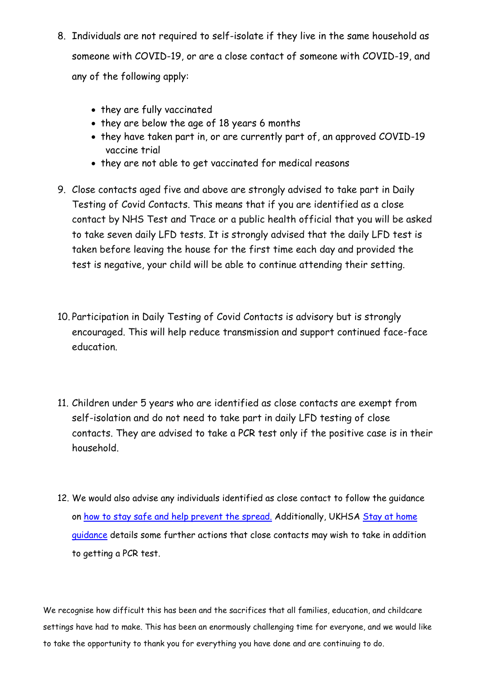- 8. Individuals are not required to self-isolate if they live in the same household as someone with COVID-19, or are a close contact of someone with COVID-19, and any of the following apply:
	- they are fully vaccinated
	- they are below the age of 18 years 6 months
	- they have taken part in, or are currently part of, an approved COVID-19 vaccine trial
	- they are not able to get vaccinated for medical reasons
- 9. Close contacts aged five and above are strongly advised to take part in Daily Testing of Covid Contacts. This means that if you are identified as a close contact by NHS Test and Trace or a public health official that you will be asked to take seven daily LFD tests. It is strongly advised that the daily LFD test is taken before leaving the house for the first time each day and provided the test is negative, your child will be able to continue attending their setting.
- 10. Participation in Daily Testing of Covid Contacts is advisory but is strongly encouraged. This will help reduce transmission and support continued face-face education.
- 11. Children under 5 years who are identified as close contacts are exempt from self-isolation and do not need to take part in daily LFD testing of close contacts. They are advised to take a PCR test only if the positive case is in their household.
- 12. We would also advise any individuals identified as close contact to follow the guidance on [how to stay safe and help prevent the spread.](https://www.gov.uk/guidance/covid-19-coronavirus-restrictions-what-you-can-and-cannot-do#keeping-yourself-and-others-safe) Additionally, UKHSA Stay at home [guidance](https://www.gov.uk/government/publications/covid-19-stay-at-home-guidance/stay-at-home-guidance-for-households-with-possible-coronavirus-covid-19-infection#exempt) details some further actions that close contacts may wish to take in addition to getting a PCR test.

We recognise how difficult this has been and the sacrifices that all families, education, and childcare settings have had to make. This has been an enormously challenging time for everyone, and we would like to take the opportunity to thank you for everything you have done and are continuing to do.